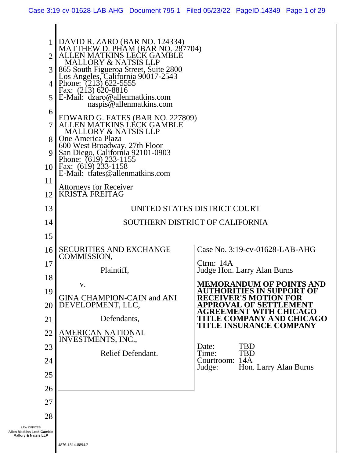| 6<br>9                                                                                   | DAVID R. ZARO (BAR NO. 124334)<br>  MATTHEW D. PHAM (BAR NO. 287704)<br>  ALLEN MATKINS LECK GAMBLE<br><b>MALLORY &amp; NATSIS LLP</b><br>865 South Figueroa Street, Suite 2800<br>Los Angeles, California 90017-2543<br>4   Phone: $(213)$ 622-5555<br>Fax: (213) 620-8816<br>$5 \, \text{E-Mail:} \,$ dzaro@allenmatkins.com<br>naspis@allenmatkins.com<br>EDWARD G. FATES (BAR NO. 227809)<br>ALLEN MATKINS LECK GAMBLE<br><b>MALLORY &amp; NATSIS LLP</b><br>One America Plaza<br>600 West Broadway, 27th Floor<br>San Diego, California 92101-0903<br>Phone: (619) 233-1155<br>10   Fax: (619) 233-1158<br>E-Mail: tfates@allenmatkins.com |                                                       |
|------------------------------------------------------------------------------------------|-------------------------------------------------------------------------------------------------------------------------------------------------------------------------------------------------------------------------------------------------------------------------------------------------------------------------------------------------------------------------------------------------------------------------------------------------------------------------------------------------------------------------------------------------------------------------------------------------------------------------------------------------|-------------------------------------------------------|
| 11                                                                                       | <b>Attorneys for Receiver</b>                                                                                                                                                                                                                                                                                                                                                                                                                                                                                                                                                                                                                   |                                                       |
| 12                                                                                       | <b>KRISTĂ FREITAG</b>                                                                                                                                                                                                                                                                                                                                                                                                                                                                                                                                                                                                                           |                                                       |
| 13                                                                                       |                                                                                                                                                                                                                                                                                                                                                                                                                                                                                                                                                                                                                                                 | UNITED STATES DISTRICT COURT                          |
| 14                                                                                       |                                                                                                                                                                                                                                                                                                                                                                                                                                                                                                                                                                                                                                                 | SOUTHERN DISTRICT OF CALIFORNIA                       |
| 15                                                                                       |                                                                                                                                                                                                                                                                                                                                                                                                                                                                                                                                                                                                                                                 |                                                       |
| 16                                                                                       | <b>SECURITIES AND EXCHANGE</b><br>COMMISSION,                                                                                                                                                                                                                                                                                                                                                                                                                                                                                                                                                                                                   | Case No. 3:19-cv-01628-LAB-AHG                        |
| 17                                                                                       |                                                                                                                                                                                                                                                                                                                                                                                                                                                                                                                                                                                                                                                 | Ctrm: $14A$                                           |
| 18                                                                                       | Plaintiff,                                                                                                                                                                                                                                                                                                                                                                                                                                                                                                                                                                                                                                      | Judge Hon. Larry Alan Burns                           |
| 19                                                                                       | V.                                                                                                                                                                                                                                                                                                                                                                                                                                                                                                                                                                                                                                              | <b>MEMORANDUM OF POINTS AND</b><br>TIES IN SUPPORT OF |
| 20                                                                                       | <b>GINA CHAMPION-CAIN and ANI</b><br>DEVELOPMENT, LLC,                                                                                                                                                                                                                                                                                                                                                                                                                                                                                                                                                                                          | VER'S MOT                                             |
| 21                                                                                       | Defendants,                                                                                                                                                                                                                                                                                                                                                                                                                                                                                                                                                                                                                                     | CAGO<br>(PANY AND CHI                                 |
| 22                                                                                       | <b>AMERICAN NATIONAL</b>                                                                                                                                                                                                                                                                                                                                                                                                                                                                                                                                                                                                                        | <b>TITLE INSURANCE COMPANY</b>                        |
| 23                                                                                       | INVESTMENTS, INC.,                                                                                                                                                                                                                                                                                                                                                                                                                                                                                                                                                                                                                              | <b>TBD</b><br>Date:                                   |
| 24                                                                                       | Relief Defendant.                                                                                                                                                                                                                                                                                                                                                                                                                                                                                                                                                                                                                               | <b>TBD</b><br>Time:<br>Courtroom: 14A                 |
| 25                                                                                       |                                                                                                                                                                                                                                                                                                                                                                                                                                                                                                                                                                                                                                                 | Judge:<br>Hon. Larry Alan Burns                       |
| 26                                                                                       |                                                                                                                                                                                                                                                                                                                                                                                                                                                                                                                                                                                                                                                 |                                                       |
| 27                                                                                       |                                                                                                                                                                                                                                                                                                                                                                                                                                                                                                                                                                                                                                                 |                                                       |
|                                                                                          |                                                                                                                                                                                                                                                                                                                                                                                                                                                                                                                                                                                                                                                 |                                                       |
| 28<br><b>LAW OFFICES</b><br>Allen Matkins Leck Gamble<br><b>Mallory &amp; Natsis LLP</b> |                                                                                                                                                                                                                                                                                                                                                                                                                                                                                                                                                                                                                                                 |                                                       |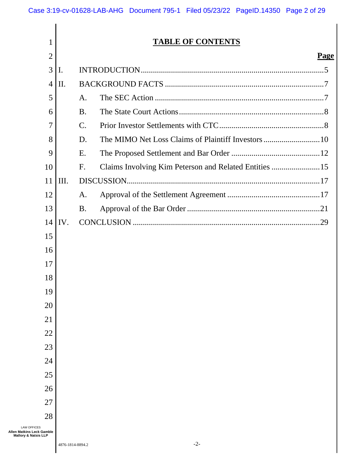| 1                                                                       | <b>TABLE OF CONTENTS</b> |                                                             |             |
|-------------------------------------------------------------------------|--------------------------|-------------------------------------------------------------|-------------|
| $\overline{2}$                                                          |                          |                                                             | <b>Page</b> |
| 3                                                                       | II.                      |                                                             |             |
| 4                                                                       | II.                      |                                                             |             |
| 5                                                                       |                          | A.                                                          |             |
| 6                                                                       |                          | <b>B.</b>                                                   |             |
| $\overline{7}$                                                          |                          | $\mathbf{C}$ .                                              |             |
| 8                                                                       |                          | D.                                                          |             |
| 9                                                                       |                          | E.                                                          |             |
| 10                                                                      |                          | Claims Involving Kim Peterson and Related Entities 15<br>F. |             |
| 11                                                                      | III.                     |                                                             |             |
| 12                                                                      |                          | A.                                                          |             |
| 13                                                                      |                          | <b>B.</b>                                                   |             |
| 14                                                                      | $\mathbf{IV}$ .          |                                                             |             |
| 15                                                                      |                          |                                                             |             |
| 16                                                                      |                          |                                                             |             |
| 17                                                                      |                          |                                                             |             |
| 18                                                                      |                          |                                                             |             |
| 19                                                                      |                          |                                                             |             |
| 20                                                                      |                          |                                                             |             |
| 21                                                                      |                          |                                                             |             |
| 22                                                                      |                          |                                                             |             |
| 23                                                                      |                          |                                                             |             |
| 24                                                                      |                          |                                                             |             |
| 25                                                                      |                          |                                                             |             |
| 26                                                                      |                          |                                                             |             |
| 27                                                                      |                          |                                                             |             |
| 28                                                                      |                          |                                                             |             |
| <b>LAW OFFICES</b><br>Allen Matkins Leck Gamble<br>Mallory & Natsis LLP |                          |                                                             |             |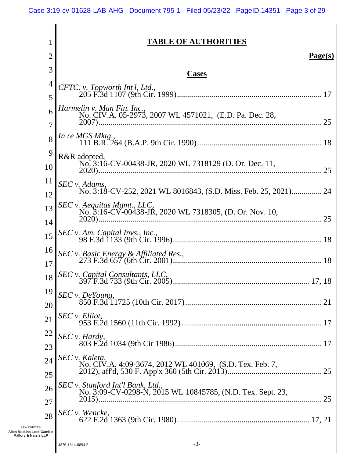# **TABLE OF AUTHORITIES**

| 2               |                                                                                                 | Page(s) |
|-----------------|-------------------------------------------------------------------------------------------------|---------|
| 3               | <b>Cases</b>                                                                                    |         |
| 4<br>5          | CFTC. v. Topworth Int'l, Ltd.,                                                                  |         |
| 6               | Harmelin v. Man Fin. Inc.,<br>No. CIV.A. 05-2973, 2007 WL 4571021, (E.D. Pa. Dec. 28,           | 25      |
| 7<br>8          | In re MGS Mktg.,                                                                                |         |
| 9<br>10         | R&R adopted,<br>No. 3:16-CV-00438-JR, 2020 WL 7318129 (D. Or. Dec. 11,                          |         |
| 11              | SEC v. Adams,                                                                                   | 25      |
| 12<br>13        | SEC v. Aequitas Mgmt., LLC,<br>No. 3:16-CV-00438-JR, 2020 WL 7318305, (D. Or. Nov. 10,          |         |
| 14<br>15        |                                                                                                 | 25      |
| 16              | SEC v. Basic Energy & Affiliated Res.,                                                          |         |
| 17<br>18        |                                                                                                 |         |
| 19<br>20        | SEC v. DeYoung,                                                                                 |         |
| 21              | SEC v. Elliot,                                                                                  |         |
| <u>22</u><br>23 | SEC v. Hardy,                                                                                   |         |
| 24<br>25        | SEC v. Kaleta,<br>No. CIV.A. 4:09-3674, 2012 WL 401069, (S.D. Tex. Feb. 7,                      |         |
| 26              | SEC v. Stanford Int'l Bank, Ltd.,<br>No. 3:09-CV-0298-N, 2015 WL 10845785, (N.D. Tex. Sept. 23, |         |
| 27<br>28        | SEC v. Wencke,                                                                                  |         |
|                 |                                                                                                 |         |

LAW OFFICES **Allen Matkins Leck Gamble Mallory & Natsis LLP**

1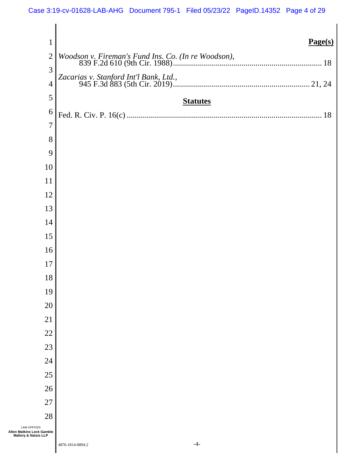| $\mathbf 1$                                                             | Page(s)         |
|-------------------------------------------------------------------------|-----------------|
| $\overline{2}$                                                          |                 |
| 3                                                                       |                 |
| $\overline{4}$                                                          |                 |
| 5                                                                       | <b>Statutes</b> |
| 6                                                                       |                 |
| $\overline{7}$                                                          |                 |
| 8                                                                       |                 |
| 9                                                                       |                 |
| 10<br>11                                                                |                 |
| 12                                                                      |                 |
| 13                                                                      |                 |
| 14                                                                      |                 |
| 15                                                                      |                 |
| 16                                                                      |                 |
| 17                                                                      |                 |
| 18                                                                      |                 |
| 19                                                                      |                 |
| 20                                                                      |                 |
| 21                                                                      |                 |
| 22                                                                      |                 |
| 23                                                                      |                 |
| 24                                                                      |                 |
| 25                                                                      |                 |
| 26<br>27                                                                |                 |
| 28                                                                      |                 |
| <b>LAW OFFICES</b><br>Allen Matkins Leck Gamble<br>Mallory & Natsis LLP |                 |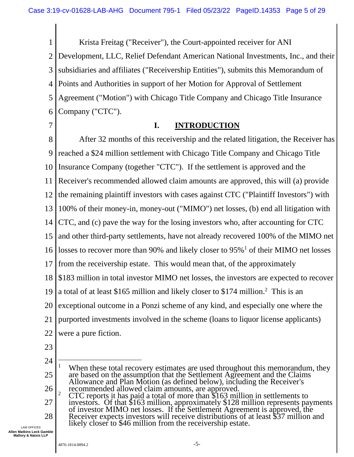1 2 3 4 5 6 Krista Freitag ("Receiver"), the Court-appointed receiver for ANI Development, LLC, Relief Defendant American National Investments, Inc., and their subsidiaries and affiliates ("Receivership Entities"), submits this Memorandum of Points and Authorities in support of her Motion for Approval of Settlement Agreement ("Motion") with Chicago Title Company and Chicago Title Insurance Company ("CTC").

7

#### **I. INTRODUCTION**

8 9 10 11 12 13 14 15 16 17 18 19 20 21 22 After 32 months of this receivership and the related litigation, the Receiver has reached a \$24 million settlement with Chicago Title Company and Chicago Title Insurance Company (together "CTC"). If the settlement is approved and the Receiver's recommended allowed claim amounts are approved, this will (a) provide the remaining plaintiff investors with cases against CTC ("Plaintiff Investors") with 100% of their money-in, money-out ("MIMO") net losses, (b) end all litigation with CTC, and (c) pave the way for the losing investors who, after accounting for CTC and other third-party settlements, have not already recovered 100% of the MIMO net losses to recover more than 90% and likely closer to 95%<sup>1</sup> of their MIMO net losses from the receivership estate. This would mean that, of the approximately \$183 million in total investor MIMO net losses, the investors are expected to recover a total of at least \$165 million and likely closer to \$174 million. 2 This is an exceptional outcome in a Ponzi scheme of any kind, and especially one where the purported investments involved in the scheme (loans to liquor license applicants) were a pure fiction.

23

27 28 investors. Of that \$163 million, approximately \$128 million represents payments of investor MIMO net losses. If the Settlement Agreement is approved, the Receiver expects investors will receive distributions of at least \$37 million and likely closer to \$46 million from the receivership estate.

<sup>24</sup> 25 26 When these total recovery estimates are used throughout this memorandum, they are based on the assumption that the Settlement Agreement and the Claims Allowance and Plan Motion (as defined below), including the Receiver's recommended allowed claim amounts, are approved. <sup>2</sup> CTC reports it has paid a total of more than  $$163$  million in settlements to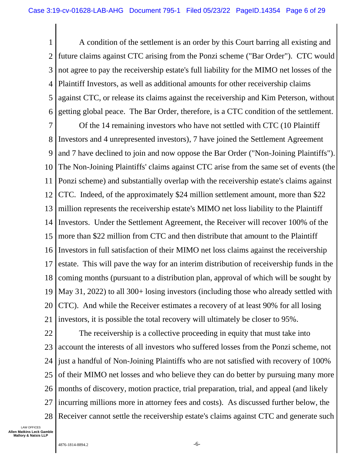1 2 3 4 5 6 A condition of the settlement is an order by this Court barring all existing and future claims against CTC arising from the Ponzi scheme ("Bar Order"). CTC would not agree to pay the receivership estate's full liability for the MIMO net losses of the Plaintiff Investors, as well as additional amounts for other receivership claims against CTC, or release its claims against the receivership and Kim Peterson, without getting global peace. The Bar Order, therefore, is a CTC condition of the settlement.

7 8 9 10 11 12 13 14 15 16 17 18 19 20 21 Of the 14 remaining investors who have not settled with CTC (10 Plaintiff Investors and 4 unrepresented investors), 7 have joined the Settlement Agreement and 7 have declined to join and now oppose the Bar Order ("Non-Joining Plaintiffs"). The Non-Joining Plaintiffs' claims against CTC arise from the same set of events (the Ponzi scheme) and substantially overlap with the receivership estate's claims against CTC. Indeed, of the approximately \$24 million settlement amount, more than \$22 million represents the receivership estate's MIMO net loss liability to the Plaintiff Investors. Under the Settlement Agreement, the Receiver will recover 100% of the more than \$22 million from CTC and then distribute that amount to the Plaintiff Investors in full satisfaction of their MIMO net loss claims against the receivership estate. This will pave the way for an interim distribution of receivership funds in the coming months (pursuant to a distribution plan, approval of which will be sought by May 31, 2022) to all 300+ losing investors (including those who already settled with CTC). And while the Receiver estimates a recovery of at least 90% for all losing investors, it is possible the total recovery will ultimately be closer to 95%.

22 23 24 25 26 27 28 The receivership is a collective proceeding in equity that must take into account the interests of all investors who suffered losses from the Ponzi scheme, not just a handful of Non-Joining Plaintiffs who are not satisfied with recovery of 100% of their MIMO net losses and who believe they can do better by pursuing many more months of discovery, motion practice, trial preparation, trial, and appeal (and likely incurring millions more in attorney fees and costs). As discussed further below, the Receiver cannot settle the receivership estate's claims against CTC and generate such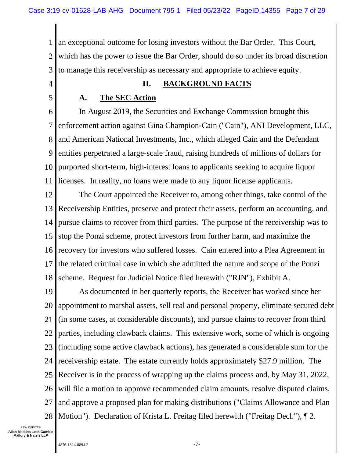1 2 3 an exceptional outcome for losing investors without the Bar Order. This Court, which has the power to issue the Bar Order, should do so under its broad discretion to manage this receivership as necessary and appropriate to achieve equity.

#### 4

### **II. BACKGROUND FACTS**

5

# **A. The SEC Action**

6 7 8 9 10 11 In August 2019, the Securities and Exchange Commission brought this enforcement action against Gina Champion-Cain ("Cain"), ANI Development, LLC, and American National Investments, Inc., which alleged Cain and the Defendant entities perpetrated a large-scale fraud, raising hundreds of millions of dollars for purported short-term, high-interest loans to applicants seeking to acquire liquor licenses. In reality, no loans were made to any liquor license applicants.

12 13 14 15 16 17 18 The Court appointed the Receiver to, among other things, take control of the Receivership Entities, preserve and protect their assets, perform an accounting, and pursue claims to recover from third parties. The purpose of the receivership was to stop the Ponzi scheme, protect investors from further harm, and maximize the recovery for investors who suffered losses. Cain entered into a Plea Agreement in the related criminal case in which she admitted the nature and scope of the Ponzi scheme. Request for Judicial Notice filed herewith ("RJN"), Exhibit A.

19 20 21 22 23 24 25 26 27 28 As documented in her quarterly reports, the Receiver has worked since her appointment to marshal assets, sell real and personal property, eliminate secured debt (in some cases, at considerable discounts), and pursue claims to recover from third parties, including clawback claims. This extensive work, some of which is ongoing (including some active clawback actions), has generated a considerable sum for the receivership estate. The estate currently holds approximately \$27.9 million. The Receiver is in the process of wrapping up the claims process and, by May 31, 2022, will file a motion to approve recommended claim amounts, resolve disputed claims, and approve a proposed plan for making distributions ("Claims Allowance and Plan Motion"). Declaration of Krista L. Freitag filed herewith ("Freitag Decl."), ¶ 2.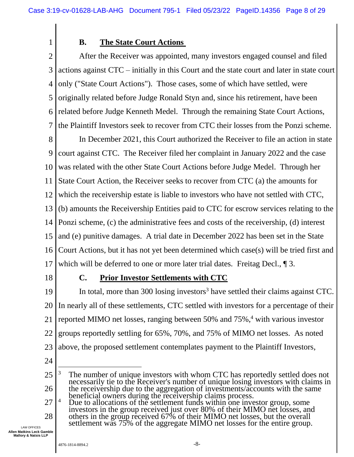1

## **B. The State Court Actions**

2 3 4 5 6 7 After the Receiver was appointed, many investors engaged counsel and filed actions against CTC – initially in this Court and the state court and later in state court only ("State Court Actions"). Those cases, some of which have settled, were originally related before Judge Ronald Styn and, since his retirement, have been related before Judge Kenneth Medel. Through the remaining State Court Actions, the Plaintiff Investors seek to recover from CTC their losses from the Ponzi scheme.

8 9 10 11 12 13 14 15 16 17 In December 2021, this Court authorized the Receiver to file an action in state court against CTC. The Receiver filed her complaint in January 2022 and the case was related with the other State Court Actions before Judge Medel. Through her State Court Action, the Receiver seeks to recover from CTC (a) the amounts for which the receivership estate is liable to investors who have not settled with CTC, (b) amounts the Receivership Entities paid to CTC for escrow services relating to the Ponzi scheme, (c) the administrative fees and costs of the receivership, (d) interest and (e) punitive damages. A trial date in December 2022 has been set in the State Court Actions, but it has not yet been determined which case(s) will be tried first and which will be deferred to one or more later trial dates. Freitag Decl., 1 3.

18

# **C. Prior Investor Settlements with CTC**

19 20 21 22 23 In total, more than 300 losing investors<sup>3</sup> have settled their claims against CTC. In nearly all of these settlements, CTC settled with investors for a percentage of their reported MIMO net losses, ranging between 50% and 75%,<sup>4</sup> with various investor groups reportedly settling for 65%, 70%, and 75% of MIMO net losses. As noted above, the proposed settlement contemplates payment to the Plaintiff Investors,

24

<sup>25</sup> 26 <sup>3</sup> The number of unique investors with whom CTC has reportedly settled does not necessarily tie to the Receiver's number of unique losing investors with claims in the receivership due to the aggregation of investments/accounts with the same beneficial owners during the receivership claims process.

<sup>27</sup> 28 <sup>4</sup> Due to allocations of the settlement funds within one investor group, some investors in the group received just over 80% of their MIMO net losses, and others in the group received 67% of their MIMO net losses, but the overall settlement was 75% of the aggregate MIMO net losses for the entire group.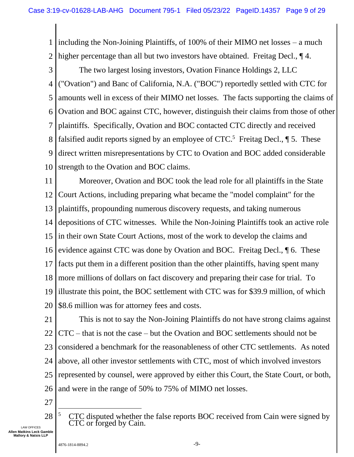1 2 including the Non-Joining Plaintiffs, of 100% of their MIMO net losses – a much higher percentage than all but two investors have obtained. Freitag Decl.,  $\P$ 4.

3 4 5 6 7 8 9 10 The two largest losing investors, Ovation Finance Holdings 2, LLC ("Ovation") and Banc of California, N.A. ("BOC") reportedly settled with CTC for amounts well in excess of their MIMO net losses. The facts supporting the claims of Ovation and BOC against CTC, however, distinguish their claims from those of other plaintiffs. Specifically, Ovation and BOC contacted CTC directly and received falsified audit reports signed by an employee of  $CTC$ <sup>5</sup>. Freitag Decl.,  $\P$  5. These direct written misrepresentations by CTC to Ovation and BOC added considerable strength to the Ovation and BOC claims.

11 12 13 14 15 16 17 18 19 20 Moreover, Ovation and BOC took the lead role for all plaintiffs in the State Court Actions, including preparing what became the "model complaint" for the plaintiffs, propounding numerous discovery requests, and taking numerous depositions of CTC witnesses. While the Non-Joining Plaintiffs took an active role in their own State Court Actions, most of the work to develop the claims and evidence against CTC was done by Ovation and BOC. Freitag Decl., ¶ 6. These facts put them in a different position than the other plaintiffs, having spent many more millions of dollars on fact discovery and preparing their case for trial. To illustrate this point, the BOC settlement with CTC was for \$39.9 million, of which \$8.6 million was for attorney fees and costs.

21 22 23 24 25 26 This is not to say the Non-Joining Plaintiffs do not have strong claims against CTC – that is not the case – but the Ovation and BOC settlements should not be considered a benchmark for the reasonableness of other CTC settlements. As noted above, all other investor settlements with CTC, most of which involved investors represented by counsel, were approved by either this Court, the State Court, or both, and were in the range of 50% to 75% of MIMO net losses.

27

28 <sup>5</sup> CTC disputed whether the false reports BOC received from Cain were signed by CTC or forged by Cain.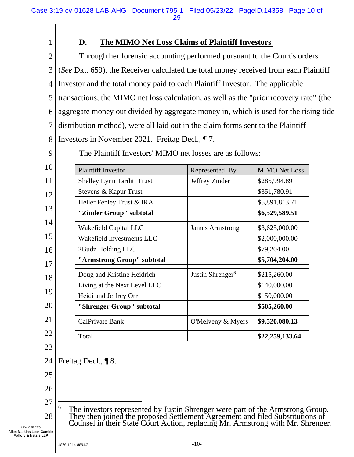- 1 2 3 4 5 6 7 8 **D. The MIMO Net Loss Claims of Plaintiff Investors**  Through her forensic accounting performed pursuant to the Court's orders (*See* Dkt. 659), the Receiver calculated the total money received from each Plaintiff Investor and the total money paid to each Plaintiff Investor. The applicable transactions, the MIMO net loss calculation, as well as the "prior recovery rate" (the aggregate money out divided by aggregate money in, which is used for the rising tide distribution method), were all laid out in the claim forms sent to the Plaintiff Investors in November 2021. Freitag Decl., ¶ 7.
- 9

The Plaintiff Investors' MIMO net losses are as follows:

| 10 | <b>Plaintiff Investor</b>         | Represented By               | <b>MIMO Net Loss</b> |
|----|-----------------------------------|------------------------------|----------------------|
| 11 | <b>Shelley Lynn Tarditi Trust</b> | Jeffrey Zinder               | \$285,994.89         |
| 12 | Stevens & Kapur Trust             |                              | \$351,780.91         |
|    | Heller Fenley Trust & IRA         |                              | \$5,891,813.71       |
| 13 | "Zinder Group" subtotal           |                              | \$6,529,589.51       |
| 14 | Wakefield Capital LLC             | <b>James Armstrong</b>       | \$3,625,000.00       |
| 15 | Wakefield Investments LLC         |                              | \$2,000,000.00       |
| 16 | 2Budz Holding LLC                 |                              | \$79,204.00          |
| 17 | "Armstrong Group" subtotal        |                              | \$5,704,204.00       |
| 18 | Doug and Kristine Heidrich        | Justin Shrenger <sup>6</sup> | \$215,260.00         |
|    | Living at the Next Level LLC      |                              | \$140,000.00         |
| 19 | Heidi and Jeffrey Orr             |                              | \$150,000.00         |
| 20 | "Shrenger Group" subtotal         |                              | \$505,260.00         |
| 21 | CalPrivate Bank                   | O'Melveny & Myers            | \$9,520,080.13       |
| 22 | Total                             |                              | \$22,259,133.64      |
|    |                                   |                              |                      |

23

24 Freitag Decl., ¶ 8.

- 25
- 26
- 27
	- 28 <sup>6</sup> The investors represented by Justin Shrenger were part of the Armstrong Group. They then joined the proposed Settlement Agreement and filed Substitutions of Counsel in their State Court Action, replacing Mr. Armstrong with Mr. Shrenger.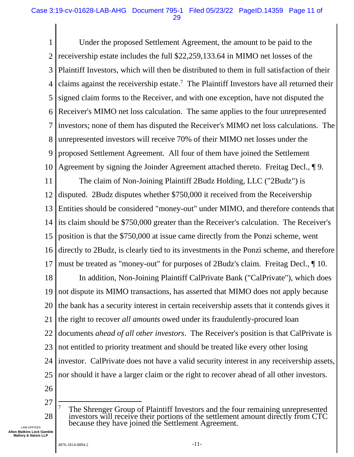1 2 3 4 5 6 7 8 9 10 Under the proposed Settlement Agreement, the amount to be paid to the receivership estate includes the full \$22,259,133.64 in MIMO net losses of the Plaintiff Investors, which will then be distributed to them in full satisfaction of their claims against the receivership estate.<sup>7</sup> The Plaintiff Investors have all returned their signed claim forms to the Receiver, and with one exception, have not disputed the Receiver's MIMO net loss calculation. The same applies to the four unrepresented investors; none of them has disputed the Receiver's MIMO net loss calculations. The unrepresented investors will receive 70% of their MIMO net losses under the proposed Settlement Agreement. All four of them have joined the Settlement Agreement by signing the Joinder Agreement attached thereto. Freitag Decl., ¶ 9.

11 12 13 14 15 16 17 The claim of Non-Joining Plaintiff 2Budz Holding, LLC ("2Budz") is disputed. 2Budz disputes whether \$750,000 it received from the Receivership Entities should be considered "money-out" under MIMO, and therefore contends that its claim should be \$750,000 greater than the Receiver's calculation. The Receiver's position is that the \$750,000 at issue came directly from the Ponzi scheme, went directly to 2Budz, is clearly tied to its investments in the Ponzi scheme, and therefore must be treated as "money-out" for purposes of 2Budz's claim. Freitag Decl., ¶ 10.

18 19 20 21 22 23 24 25 In addition, Non-Joining Plaintiff CalPrivate Bank ("CalPrivate"), which does not dispute its MIMO transactions, has asserted that MIMO does not apply because the bank has a security interest in certain receivership assets that it contends gives it the right to recover *all amounts* owed under its fraudulently-procured loan documents *ahead of all other investors*. The Receiver's position is that CalPrivate is not entitled to priority treatment and should be treated like every other losing investor. CalPrivate does not have a valid security interest in any receivership assets, nor should it have a larger claim or the right to recover ahead of all other investors.

- 26
- 27
- 28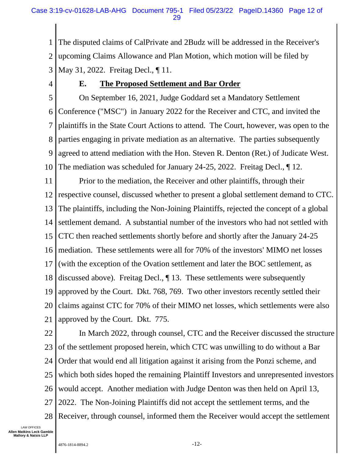1 2 3 The disputed claims of CalPrivate and 2Budz will be addressed in the Receiver's upcoming Claims Allowance and Plan Motion, which motion will be filed by May 31, 2022. Freitag Decl., ¶ 11.

4

## **E. The Proposed Settlement and Bar Order**

5 6 7 8 9 10 On September 16, 2021, Judge Goddard set a Mandatory Settlement Conference ("MSC") in January 2022 for the Receiver and CTC, and invited the plaintiffs in the State Court Actions to attend. The Court, however, was open to the parties engaging in private mediation as an alternative. The parties subsequently agreed to attend mediation with the Hon. Steven R. Denton (Ret.) of Judicate West. The mediation was scheduled for January 24-25, 2022. Freitag Decl., ¶ 12.

11 12 13 14 15 16 17 18 19 20 21 Prior to the mediation, the Receiver and other plaintiffs, through their respective counsel, discussed whether to present a global settlement demand to CTC. The plaintiffs, including the Non-Joining Plaintiffs, rejected the concept of a global settlement demand. A substantial number of the investors who had not settled with CTC then reached settlements shortly before and shortly after the January 24-25 mediation. These settlements were all for 70% of the investors' MIMO net losses (with the exception of the Ovation settlement and later the BOC settlement, as discussed above). Freitag Decl., ¶ 13. These settlements were subsequently approved by the Court. Dkt. 768, 769. Two other investors recently settled their claims against CTC for 70% of their MIMO net losses, which settlements were also approved by the Court. Dkt. 775.

22 23 24 25 26 27 28 In March 2022, through counsel, CTC and the Receiver discussed the structure of the settlement proposed herein, which CTC was unwilling to do without a Bar Order that would end all litigation against it arising from the Ponzi scheme, and which both sides hoped the remaining Plaintiff Investors and unrepresented investors would accept. Another mediation with Judge Denton was then held on April 13, 2022. The Non-Joining Plaintiffs did not accept the settlement terms, and the Receiver, through counsel, informed them the Receiver would accept the settlement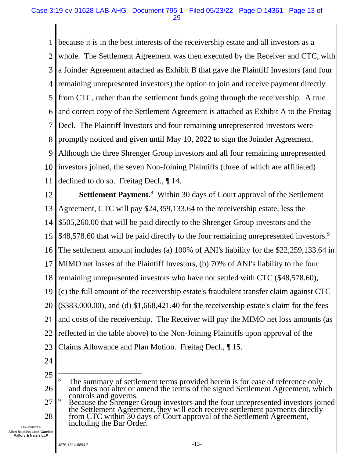1 2 3 4 5 6 7 8 9 10 11 because it is in the best interests of the receivership estate and all investors as a whole. The Settlement Agreement was then executed by the Receiver and CTC, with a Joinder Agreement attached as Exhibit B that gave the Plaintiff Investors (and four remaining unrepresented investors) the option to join and receive payment directly from CTC, rather than the settlement funds going through the receivership. A true and correct copy of the Settlement Agreement is attached as Exhibit A to the Freitag Decl. The Plaintiff Investors and four remaining unrepresented investors were promptly noticed and given until May 10, 2022 to sign the Joinder Agreement. Although the three Shrenger Group investors and all four remaining unrepresented investors joined, the seven Non-Joining Plaintiffs (three of which are affiliated) declined to do so. Freitag Decl., ¶ 14.

12 13 14 15 16 17 18 19 20 21 22 23 Settlement Payment.<sup>8</sup> Within 30 days of Court approval of the Settlement Agreement, CTC will pay \$24,359,133.64 to the receivership estate, less the \$505,260.00 that will be paid directly to the Shrenger Group investors and the \$48,578.60 that will be paid directly to the four remaining unrepresented investors.<sup>9</sup> The settlement amount includes (a) 100% of ANI's liability for the \$22,259,133.64 in MIMO net losses of the Plaintiff Investors, (b) 70% of ANI's liability to the four remaining unrepresented investors who have not settled with CTC (\$48,578.60), (c) the full amount of the receivership estate's fraudulent transfer claim against CTC (\$383,000.00), and (d) \$1,668,421.40 for the receivership estate's claim for the fees and costs of the receivership. The Receiver will pay the MIMO net loss amounts (as reflected in the table above) to the Non-Joining Plaintiffs upon approval of the Claims Allowance and Plan Motion. Freitag Decl., ¶ 15.

24

<sup>25</sup> 26 <sup>8</sup> The summary of settlement terms provided herein is for ease of reference only and does not alter or amend the terms of the signed Settlement Agreement, which controls and governs.

<sup>27</sup> 28 <sup>9</sup> Because the Shrenger Group investors and the four unrepresented investors joined the Settlement Agreement, they will each receive settlement payments directly from CTC within 30 days of Court approval of the Settlement Agreement, including the Bar Order.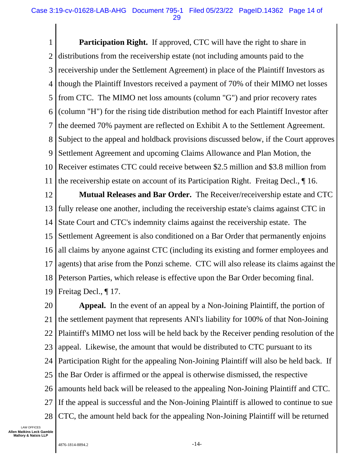1 2 3 4 5 6 7 8 9 10 11 **Participation Right.** If approved, CTC will have the right to share in distributions from the receivership estate (not including amounts paid to the receivership under the Settlement Agreement) in place of the Plaintiff Investors as though the Plaintiff Investors received a payment of 70% of their MIMO net losses from CTC. The MIMO net loss amounts (column "G") and prior recovery rates (column "H") for the rising tide distribution method for each Plaintiff Investor after the deemed 70% payment are reflected on Exhibit A to the Settlement Agreement. Subject to the appeal and holdback provisions discussed below, if the Court approves Settlement Agreement and upcoming Claims Allowance and Plan Motion, the Receiver estimates CTC could receive between \$2.5 million and \$3.8 million from the receivership estate on account of its Participation Right. Freitag Decl., ¶ 16.

12 13 14 15 16 17 18 19 **Mutual Releases and Bar Order.** The Receiver/receivership estate and CTC fully release one another, including the receivership estate's claims against CTC in State Court and CTC's indemnity claims against the receivership estate. The Settlement Agreement is also conditioned on a Bar Order that permanently enjoins all claims by anyone against CTC (including its existing and former employees and agents) that arise from the Ponzi scheme. CTC will also release its claims against the Peterson Parties, which release is effective upon the Bar Order becoming final. Freitag Decl., ¶ 17.

20 21 22 23 24 25 26 27 28 **Appeal.** In the event of an appeal by a Non-Joining Plaintiff, the portion of the settlement payment that represents ANI's liability for 100% of that Non-Joining Plaintiff's MIMO net loss will be held back by the Receiver pending resolution of the appeal. Likewise, the amount that would be distributed to CTC pursuant to its Participation Right for the appealing Non-Joining Plaintiff will also be held back. If the Bar Order is affirmed or the appeal is otherwise dismissed, the respective amounts held back will be released to the appealing Non-Joining Plaintiff and CTC. If the appeal is successful and the Non-Joining Plaintiff is allowed to continue to sue CTC, the amount held back for the appealing Non-Joining Plaintiff will be returned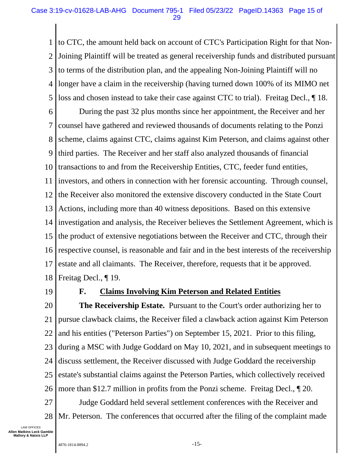1 2 3 4 5 to CTC, the amount held back on account of CTC's Participation Right for that Non-Joining Plaintiff will be treated as general receivership funds and distributed pursuant to terms of the distribution plan, and the appealing Non-Joining Plaintiff will no longer have a claim in the receivership (having turned down 100% of its MIMO net loss and chosen instead to take their case against CTC to trial). Freitag Decl.,  $\parallel$  18.

6 7 8 9 10 11 12 13 14 15 16 17 18 During the past 32 plus months since her appointment, the Receiver and her counsel have gathered and reviewed thousands of documents relating to the Ponzi scheme, claims against CTC, claims against Kim Peterson, and claims against other third parties. The Receiver and her staff also analyzed thousands of financial transactions to and from the Receivership Entities, CTC, feeder fund entities, investors, and others in connection with her forensic accounting. Through counsel, the Receiver also monitored the extensive discovery conducted in the State Court Actions, including more than 40 witness depositions. Based on this extensive investigation and analysis, the Receiver believes the Settlement Agreement, which is the product of extensive negotiations between the Receiver and CTC, through their respective counsel, is reasonable and fair and in the best interests of the receivership estate and all claimants. The Receiver, therefore, requests that it be approved. Freitag Decl., ¶ 19.

19

# **F. Claims Involving Kim Peterson and Related Entities**

20 21 22 23 24 25 26 27 **The Receivership Estate.** Pursuant to the Court's order authorizing her to pursue clawback claims, the Receiver filed a clawback action against Kim Peterson and his entities ("Peterson Parties") on September 15, 2021. Prior to this filing, during a MSC with Judge Goddard on May 10, 2021, and in subsequent meetings to discuss settlement, the Receiver discussed with Judge Goddard the receivership estate's substantial claims against the Peterson Parties, which collectively received more than \$12.7 million in profits from the Ponzi scheme. Freitag Decl., ¶ 20. Judge Goddard held several settlement conferences with the Receiver and

28 Mr. Peterson. The conferences that occurred after the filing of the complaint made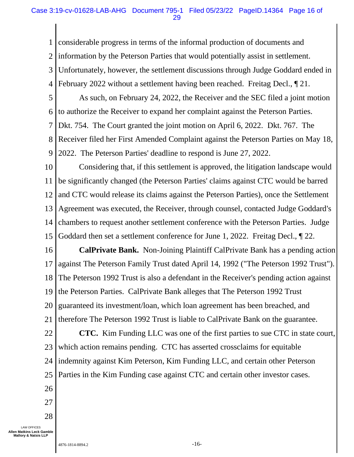1 2 3 4 considerable progress in terms of the informal production of documents and information by the Peterson Parties that would potentially assist in settlement. Unfortunately, however, the settlement discussions through Judge Goddard ended in February 2022 without a settlement having been reached. Freitag Decl., ¶ 21.

5 6 7 8 9 As such, on February 24, 2022, the Receiver and the SEC filed a joint motion to authorize the Receiver to expand her complaint against the Peterson Parties. Dkt. 754. The Court granted the joint motion on April 6, 2022. Dkt. 767. The Receiver filed her First Amended Complaint against the Peterson Parties on May 18, 2022. The Peterson Parties' deadline to respond is June 27, 2022.

10 11 12 13 14 15 Considering that, if this settlement is approved, the litigation landscape would be significantly changed (the Peterson Parties' claims against CTC would be barred and CTC would release its claims against the Peterson Parties), once the Settlement Agreement was executed, the Receiver, through counsel, contacted Judge Goddard's chambers to request another settlement conference with the Peterson Parties. Judge Goddard then set a settlement conference for June 1, 2022. Freitag Decl., ¶ 22.

16 17 18 19 20 21 22 23 **CalPrivate Bank.** Non-Joining Plaintiff CalPrivate Bank has a pending action against The Peterson Family Trust dated April 14, 1992 ("The Peterson 1992 Trust"). The Peterson 1992 Trust is also a defendant in the Receiver's pending action against the Peterson Parties. CalPrivate Bank alleges that The Peterson 1992 Trust guaranteed its investment/loan, which loan agreement has been breached, and therefore The Peterson 1992 Trust is liable to CalPrivate Bank on the guarantee. **CTC.** Kim Funding LLC was one of the first parties to sue CTC in state court, which action remains pending. CTC has asserted crossclaims for equitable

24 indemnity against Kim Peterson, Kim Funding LLC, and certain other Peterson

25 Parties in the Kim Funding case against CTC and certain other investor cases.

- 26
- 27
- 28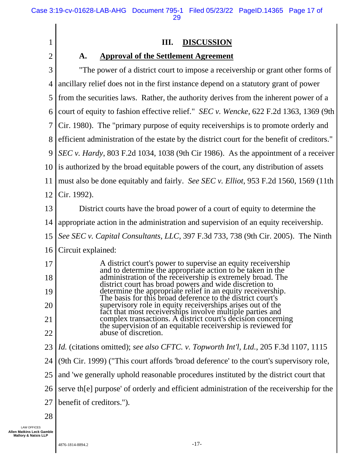# **III. DISCUSSION**

2

1

# **A. Approval of the Settlement Agreement**

| 3              | "The power of a district court to impose a receivership or grant other forms of                                              |
|----------------|------------------------------------------------------------------------------------------------------------------------------|
| $\overline{4}$ | ancillary relief does not in the first instance depend on a statutory grant of power                                         |
| 5              | from the securities laws. Rather, the authority derives from the inherent power of a                                         |
| 6              | court of equity to fashion effective relief." <i>SEC v. Wencke</i> , 622 F.2d 1363, 1369 (9th                                |
| 7              | Cir. 1980). The "primary purpose of equity receiverships is to promote orderly and                                           |
| 8              | efficient administration of the estate by the district court for the benefit of creditors."                                  |
| 9              | SEC v. Hardy, 803 F.2d 1034, 1038 (9th Cir 1986). As the appointment of a receiver                                           |
| 10             | is authorized by the broad equitable powers of the court, any distribution of assets                                         |
| 11             | must also be done equitably and fairly. See SEC v. Elliot, 953 F.2d 1560, 1569 (11th                                         |
| 12             | Cir. 1992).                                                                                                                  |
| 13             | District courts have the broad power of a court of equity to determine the                                                   |
| 14             | appropriate action in the administration and supervision of an equity receivership.                                          |
| 15             | See SEC v. Capital Consultants, LLC, 397 F.3d 733, 738 (9th Cir. 2005). The Ninth                                            |
| 16             | Circuit explained:                                                                                                           |
| 17             | A district court's power to supervise an equity receivership<br>and to determine the appropriate action to be taken in the   |
| 18             | administration of the receivership is extremely broad. The<br>district court has broad powers and wide discretion to         |
| 19             | determine the appropriate relief in an equity receivership.<br>The basis for this broad deference to the district court's    |
| 20             | supervisory role in equity receiverships arises out of the<br>fact that most receiverships involve multiple parties and      |
| 21             | complex transactions. A district court's decision concerning<br>the supervision of an equitable receivership is reviewed for |
| 22             | abuse of discretion.                                                                                                         |
| 23             | <i>Id.</i> (citations omitted); see also CFTC. v. Topworth Int'l, Ltd., 205 F.3d 1107, 1115                                  |
| 24             | (9th Cir. 1999) ("This court affords 'broad deference' to the court's supervisory role,                                      |
| 25             | and 'we generally uphold reasonable procedures instituted by the district court that                                         |
| 26             | serve the purpose' of orderly and efficient administration of the receivership for the                                       |
| 27             | benefit of creditors.").                                                                                                     |

28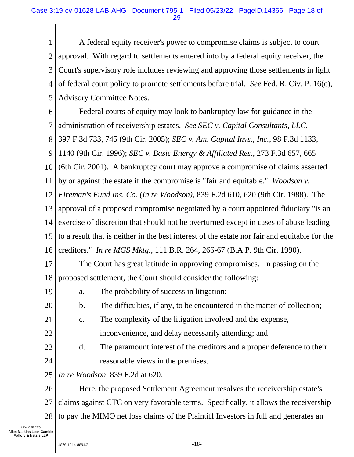1 2 3 4 5 A federal equity receiver's power to compromise claims is subject to court approval. With regard to settlements entered into by a federal equity receiver, the Court's supervisory role includes reviewing and approving those settlements in light of federal court policy to promote settlements before trial. *See* Fed. R. Civ. P. 16(c), Advisory Committee Notes.

6 7 8 Federal courts of equity may look to bankruptcy law for guidance in the administration of receivership estates. *See SEC v. Capital Consultants, LLC*, 397 F.3d 733, 745 (9th Cir. 2005); *SEC v. Am. Capital Invs., Inc.*, 98 F.3d 1133,

9 1140 (9th Cir. 1996); *SEC v. Basic Energy & Affiliated Res.*, 273 F.3d 657, 665

10 (6th Cir. 2001). A bankruptcy court may approve a compromise of claims asserted

11 by or against the estate if the compromise is "fair and equitable." *Woodson v.* 

12 *Fireman's Fund Ins. Co. (In re Woodson)*, 839 F.2d 610, 620 (9th Cir. 1988). The

13 14 15 16 approval of a proposed compromise negotiated by a court appointed fiduciary "is an exercise of discretion that should not be overturned except in cases of abuse leading to a result that is neither in the best interest of the estate nor fair and equitable for the creditors." *In re MGS Mktg.*, 111 B.R. 264, 266-67 (B.A.P. 9th Cir. 1990).

17 18 The Court has great latitude in approving compromises. In passing on the proposed settlement, the Court should consider the following:

19

20

21

a. The probability of success in litigation;

- b. The difficulties, if any, to be encountered in the matter of collection;
- c. The complexity of the litigation involved and the expense,
- 22 inconvenience, and delay necessarily attending; and
- 23 24 d. The paramount interest of the creditors and a proper deference to their reasonable views in the premises.
- 25 *In re Woodson*, 839 F.2d at 620.

26 27 28 Here, the proposed Settlement Agreement resolves the receivership estate's claims against CTC on very favorable terms. Specifically, it allows the receivership to pay the MIMO net loss claims of the Plaintiff Investors in full and generates an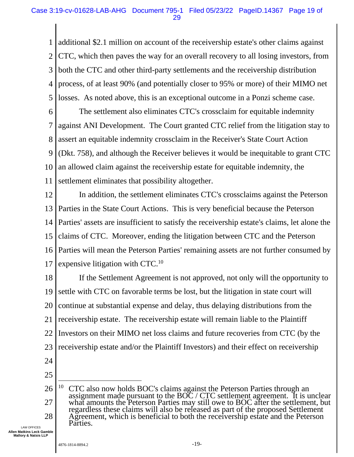1 2 3 4 5 additional \$2.1 million on account of the receivership estate's other claims against CTC, which then paves the way for an overall recovery to all losing investors, from both the CTC and other third-party settlements and the receivership distribution process, of at least 90% (and potentially closer to 95% or more) of their MIMO net losses. As noted above, this is an exceptional outcome in a Ponzi scheme case.

6 7 8 9 10 11 The settlement also eliminates CTC's crossclaim for equitable indemnity against ANI Development. The Court granted CTC relief from the litigation stay to assert an equitable indemnity crossclaim in the Receiver's State Court Action (Dkt. 758), and although the Receiver believes it would be inequitable to grant CTC an allowed claim against the receivership estate for equitable indemnity, the settlement eliminates that possibility altogether.

12 13 14 15 16 17 In addition, the settlement eliminates CTC's crossclaims against the Peterson Parties in the State Court Actions. This is very beneficial because the Peterson Parties' assets are insufficient to satisfy the receivership estate's claims, let alone the claims of CTC. Moreover, ending the litigation between CTC and the Peterson Parties will mean the Peterson Parties' remaining assets are not further consumed by expensive litigation with  $CTC<sup>10</sup>$ 

18 19 20 21 22 23 24 If the Settlement Agreement is not approved, not only will the opportunity to settle with CTC on favorable terms be lost, but the litigation in state court will continue at substantial expense and delay, thus delaying distributions from the receivership estate. The receivership estate will remain liable to the Plaintiff Investors on their MIMO net loss claims and future recoveries from CTC (by the receivership estate and/or the Plaintiff Investors) and their effect on receivership

- 
- 25

<sup>26</sup> 27 28 <sup>10</sup> CTC also now holds BOC's claims against the Peterson Parties through an assignment made pursuant to the BOC / CTC settlement agreement. It is unclear what amounts the Peterson Parties may still owe to BOC after the settlement, but regardless these claims will also be released as part of the proposed Settlement Agreement, which is beneficial to both the receivership estate and the Peterson Parties.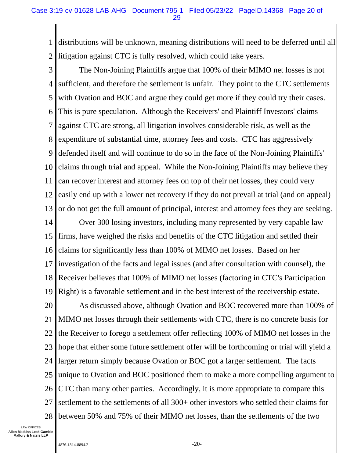1 2 distributions will be unknown, meaning distributions will need to be deferred until all litigation against CTC is fully resolved, which could take years.

- 3 4 5 6 7 8 9 10 11 12 13 The Non-Joining Plaintiffs argue that 100% of their MIMO net losses is not sufficient, and therefore the settlement is unfair. They point to the CTC settlements with Ovation and BOC and argue they could get more if they could try their cases. This is pure speculation. Although the Receivers' and Plaintiff Investors' claims against CTC are strong, all litigation involves considerable risk, as well as the expenditure of substantial time, attorney fees and costs. CTC has aggressively defended itself and will continue to do so in the face of the Non-Joining Plaintiffs' claims through trial and appeal. While the Non-Joining Plaintiffs may believe they can recover interest and attorney fees on top of their net losses, they could very easily end up with a lower net recovery if they do not prevail at trial (and on appeal) or do not get the full amount of principal, interest and attorney fees they are seeking.
- 14 15 16 17 18 19 Over 300 losing investors, including many represented by very capable law firms, have weighed the risks and benefits of the CTC litigation and settled their claims for significantly less than 100% of MIMO net losses. Based on her investigation of the facts and legal issues (and after consultation with counsel), the Receiver believes that 100% of MIMO net losses (factoring in CTC's Participation Right) is a favorable settlement and in the best interest of the receivership estate.
- 20 21 22 23 24 25 26 27 28 As discussed above, although Ovation and BOC recovered more than 100% of MIMO net losses through their settlements with CTC, there is no concrete basis for the Receiver to forego a settlement offer reflecting 100% of MIMO net losses in the hope that either some future settlement offer will be forthcoming or trial will yield a larger return simply because Ovation or BOC got a larger settlement. The facts unique to Ovation and BOC positioned them to make a more compelling argument to CTC than many other parties. Accordingly, it is more appropriate to compare this settlement to the settlements of all 300+ other investors who settled their claims for between 50% and 75% of their MIMO net losses, than the settlements of the two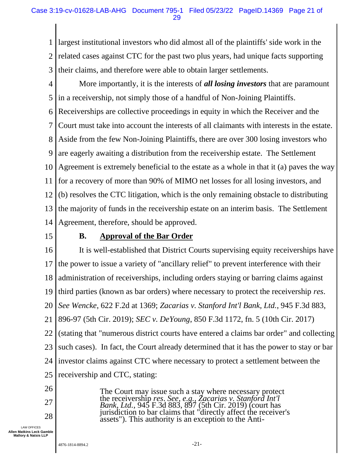1 2 3 largest institutional investors who did almost all of the plaintiffs' side work in the related cases against CTC for the past two plus years, had unique facts supporting their claims, and therefore were able to obtain larger settlements.

- 4 5 More importantly, it is the interests of *all losing investors* that are paramount in a receivership, not simply those of a handful of Non-Joining Plaintiffs.
- 6 Receiverships are collective proceedings in equity in which the Receiver and the
- 7 Court must take into account the interests of all claimants with interests in the estate.
- 8 Aside from the few Non-Joining Plaintiffs, there are over 300 losing investors who
- 9 are eagerly awaiting a distribution from the receivership estate. The Settlement

10 Agreement is extremely beneficial to the estate as a whole in that it (a) paves the way

11 for a recovery of more than 90% of MIMO net losses for all losing investors, and

12 13 14 (b) resolves the CTC litigation, which is the only remaining obstacle to distributing the majority of funds in the receivership estate on an interim basis. The Settlement Agreement, therefore, should be approved.

15

### **B. Approval of the Bar Order**

16 17 18 19 20 21 22 23 24 25 It is well-established that District Courts supervising equity receiverships have the power to issue a variety of "ancillary relief" to prevent interference with their administration of receiverships, including orders staying or barring claims against third parties (known as bar orders) where necessary to protect the receivership *res*. *See Wencke*, 622 F.2d at 1369; *Zacarias v. Stanford Int'l Bank, Ltd.*, 945 F.3d 883, 896-97 (5th Cir. 2019); *SEC v. DeYoung*, 850 F.3d 1172, fn. 5 (10th Cir. 2017) (stating that "numerous district courts have entered a claims bar order" and collecting such cases). In fact, the Court already determined that it has the power to stay or bar investor claims against CTC where necessary to protect a settlement between the receivership and CTC, stating:

26

- 
- 27

28

LAW OFFICES **Allen Matkins Leck Gamble Mallory & Natsis LLP**

The Court may issue such a stay where necessary protect the receivership *res*. *See, e.g., Zacarias v. Stanford Int'l Bank, Ltd.*, 945 F.3d 883, 897 (5th Cir. 2019) (court has jurisdiction to bar claims that "directly affect the receiver's

assets"). This authority is an exception to the Anti-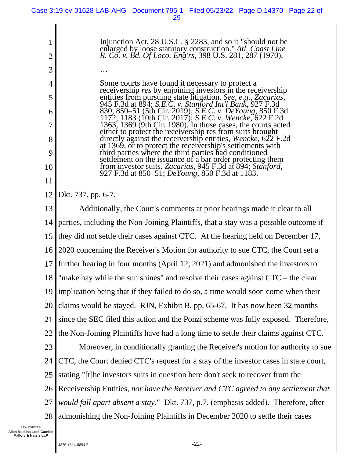| 29                                                                                                                                                                                                                                                                                                                                                                                                                                                                                                                                                                                                                                                                                                                                                                                                                                                                          |
|-----------------------------------------------------------------------------------------------------------------------------------------------------------------------------------------------------------------------------------------------------------------------------------------------------------------------------------------------------------------------------------------------------------------------------------------------------------------------------------------------------------------------------------------------------------------------------------------------------------------------------------------------------------------------------------------------------------------------------------------------------------------------------------------------------------------------------------------------------------------------------|
| Injunction Act, 28 U.S.C. $\S$ 2283, and so it "should not be<br>enlarged by loose statutory construction." Atl. Coast Line<br>R. Co. v. Bd. Of Loco. Eng'rs, 398 U.S. 281, 287 (1970).                                                                                                                                                                                                                                                                                                                                                                                                                                                                                                                                                                                                                                                                                     |
|                                                                                                                                                                                                                                                                                                                                                                                                                                                                                                                                                                                                                                                                                                                                                                                                                                                                             |
| Some courts have found it necessary to protect a<br>receivership res by enjoining investors in the receivership<br>entities from pursuing state litigation. See, e.g., Zacarias,<br>945 F.3d at 894; S.E.C. v. Stanford Int'l Bank, 927 F.3d<br>830, 850–51 (5th Cir. 2019); S.E.C. v. DeYoung, 850 F.3d<br>1172, 1183 (10th Cir. 2017); S.E.C. v. Wencke, 622 F.2d<br>1363, 1369 (9th Cir. 1980). In those cases, the courts acted<br>either to protect the receivership res from suits brought<br>directly against the receivership entities, Wencke, 622 F.2d<br>at 1369, or to protect the receivership's settlements with<br>third parties where the third parties had conditioned<br>settlement on the issuance of a bar order protecting them<br>from investor suits. Zacarias, 945 F.3d at 894; Stanford,<br>927 F.3d at 850–51; <i>DeYoung</i> , 850 F.3d at 1183. |
| Dkt. 737, pp. 6-7.                                                                                                                                                                                                                                                                                                                                                                                                                                                                                                                                                                                                                                                                                                                                                                                                                                                          |
| Additionally, the Court's comments at prior hearings made it clear to all                                                                                                                                                                                                                                                                                                                                                                                                                                                                                                                                                                                                                                                                                                                                                                                                   |
| partiac including the Non Joining Plaintiffs that a stay was a possible outcome                                                                                                                                                                                                                                                                                                                                                                                                                                                                                                                                                                                                                                                                                                                                                                                             |

13 14 15 16 17 18 19 20 21 22 23 24 25 26 27 28 parties, including the Non-Joining Plaintiffs, that a stay was a possible outcome if they did not settle their cases against CTC. At the hearing held on December 17, 2020 concerning the Receiver's Motion for authority to sue CTC, the Court set a further hearing in four months (April 12, 2021) and admonished the investors to "make hay while the sun shines" and resolve their cases against  $CTC -$  the clear implication being that if they failed to do so, a time would soon come when their claims would be stayed. RJN, Exhibit B, pp. 65-67. It has now been 32 months since the SEC filed this action and the Ponzi scheme was fully exposed. Therefore, the Non-Joining Plaintiffs have had a long time to settle their claims against CTC. Moreover, in conditionally granting the Receiver's motion for authority to sue CTC, the Court denied CTC's request for a stay of the investor cases in state court, stating "[t]he investors suits in question here don't seek to recover from the Receivership Entities, *nor have the Receiver and CTC agreed to any settlement that would fall apart absent a stay*." Dkt. 737, p.7. (emphasis added). Therefore, after admonishing the Non-Joining Plaintiffs in December 2020 to settle their cases

LAW OFFICES **Allen Matkins Leck Gamble Mallory & Natsis LLP**

1

2

3

4

5

6

7

8

9

10

11

12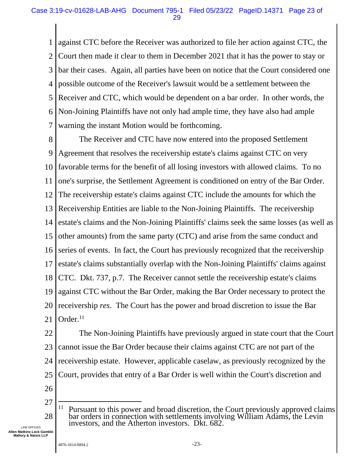1 2 3 4 5 6 7 against CTC before the Receiver was authorized to file her action against CTC, the Court then made it clear to them in December 2021 that it has the power to stay or bar their cases. Again, all parties have been on notice that the Court considered one possible outcome of the Receiver's lawsuit would be a settlement between the Receiver and CTC, which would be dependent on a bar order. In other words, the Non-Joining Plaintiffs have not only had ample time, they have also had ample warning the instant Motion would be forthcoming.

8 9 10 11 12 13 14 15 16 17 18 19 20 21 The Receiver and CTC have now entered into the proposed Settlement Agreement that resolves the receivership estate's claims against CTC on very favorable terms for the benefit of all losing investors with allowed claims. To no one's surprise, the Settlement Agreement is conditioned on entry of the Bar Order. The receivership estate's claims against CTC include the amounts for which the Receivership Entities are liable to the Non-Joining Plaintiffs. The receivership estate's claims and the Non-Joining Plaintiffs' claims seek the same losses (as well as other amounts) from the same party (CTC) and arise from the same conduct and series of events. In fact, the Court has previously recognized that the receivership estate's claims substantially overlap with the Non-Joining Plaintiffs' claims against CTC. Dkt. 737, p.7. The Receiver cannot settle the receivership estate's claims against CTC without the Bar Order, making the Bar Order necessary to protect the receivership *res*. The Court has the power and broad discretion to issue the Bar Order.<sup>11</sup>

22 23 24 25 The Non-Joining Plaintiffs have previously argued in state court that the Court cannot issue the Bar Order because their claims against CTC are not part of the receivership estate. However, applicable caselaw, as previously recognized by the Court, provides that entry of a Bar Order is well within the Court's discretion and

- 26
- 27 28  $11$  Pursuant to this power and broad discretion, the Court previously approved claims bar orders in connection with settlements involving William Adams, the Levin investors, and the Atherton investors. Dkt. 682.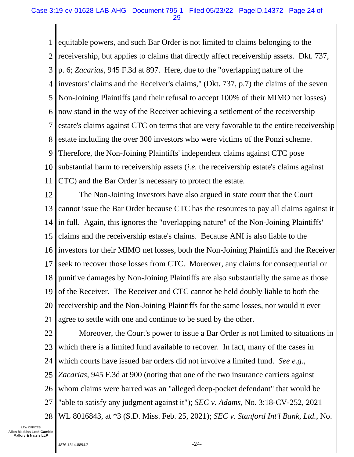1 2 3 4 5 6 7 8 9 10 11 equitable powers, and such Bar Order is not limited to claims belonging to the receivership, but applies to claims that directly affect receivership assets. Dkt. 737, p. 6; *Zacarias*, 945 F.3d at 897. Here, due to the "overlapping nature of the investors' claims and the Receiver's claims," (Dkt. 737, p.7) the claims of the seven Non-Joining Plaintiffs (and their refusal to accept 100% of their MIMO net losses) now stand in the way of the Receiver achieving a settlement of the receivership estate's claims against CTC on terms that are very favorable to the entire receivership estate including the over 300 investors who were victims of the Ponzi scheme. Therefore, the Non-Joining Plaintiffs' independent claims against CTC pose substantial harm to receivership assets (*i.e.* the receivership estate's claims against CTC) and the Bar Order is necessary to protect the estate.

12 13 14 15 16 17 18 19 20 21 The Non-Joining Investors have also argued in state court that the Court cannot issue the Bar Order because CTC has the resources to pay all claims against it in full. Again, this ignores the "overlapping nature" of the Non-Joining Plaintiffs' claims and the receivership estate's claims. Because ANI is also liable to the investors for their MIMO net losses, both the Non-Joining Plaintiffs and the Receiver seek to recover those losses from CTC. Moreover, any claims for consequential or punitive damages by Non-Joining Plaintiffs are also substantially the same as those of the Receiver. The Receiver and CTC cannot be held doubly liable to both the receivership and the Non-Joining Plaintiffs for the same losses, nor would it ever agree to settle with one and continue to be sued by the other.

22 23 24 25 26 27 28 Moreover, the Court's power to issue a Bar Order is not limited to situations in which there is a limited fund available to recover. In fact, many of the cases in which courts have issued bar orders did not involve a limited fund. *See e.g., Zacarias*, 945 F.3d at 900 (noting that one of the two insurance carriers against whom claims were barred was an "alleged deep-pocket defendant" that would be "able to satisfy any judgment against it"); *SEC v. Adams*, No. 3:18-CV-252, 2021 WL 8016843, at \*3 (S.D. Miss. Feb. 25, 2021); *SEC v. Stanford Int'l Bank, Ltd.*, No.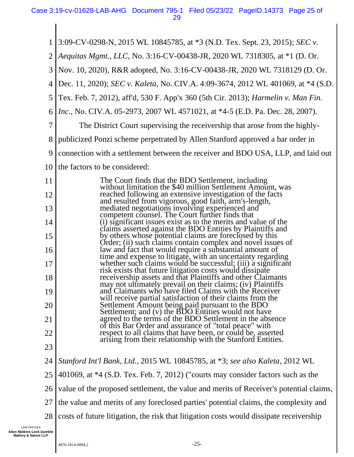1 2 3 4 5 6 7 8 9 10 11 12 13 14 15 16 17 18 19 20 21 22 23 24 25 26 27 28 3:09-CV-0298-N, 2015 WL 10845785, at \*3 (N.D. Tex. Sept. 23, 2015); *SEC v. Aequitas Mgmt., LLC*, No. 3:16-CV-00438-JR, 2020 WL 7318305, at \*1 (D. Or. Nov. 10, 2020), R&R adopted, No. 3:16-CV-00438-JR, 2020 WL 7318129 (D. Or. Dec. 11, 2020); *SEC v. Kaleta*, No. CIV.A. 4:09-3674, 2012 WL 401069, at \*4 (S.D. Tex. Feb. 7, 2012), aff'd, 530 F. App'x 360 (5th Cir. 2013); *Harmelin v. Man Fin. Inc.*, No. CIV.A. 05-2973, 2007 WL 4571021, at \*4-5 (E.D. Pa. Dec. 28, 2007). The District Court supervising the receivership that arose from the highlypublicized Ponzi scheme perpetrated by Allen Stanford approved a bar order in connection with a settlement between the receiver and BDO USA, LLP, and laid out the factors to be considered: The Court finds that the BDO Settlement, including without limitation the \$40 million Settlement Amount, was reached following an extensive investigation of the facts and resulted from vigorous, good faith, arm's-length, mediated negotiations involving experienced and competent counsel. The Court further finds that (i) significant issues exist as to the merits and value of the claims asserted against the BDO Entities by Plaintiffs and by others whose potential claims are foreclosed by this Order; (ii) such claims contain complex and novel issues of law and fact that would require a substantial amount of time and expense to litigate, with an uncertainty regarding whether such claims would be successful; (iii) a significant risk exists that future litigation costs would dissipate receivership assets and that Plaintiffs and other Claimants may not ultimately prevail on their claims; (iv) Plaintiffs and Claimants who have filed Claims with the Receiver will receive partial satisfaction of their claims from the Settlement Amount being paid pursuant to the BDO Settlement; and (y) the BDO Entities would not have agreed to the terms of the BDO Settlement in the absence of this Bar Order and assurance of "total peace" with respect to all claims that have been, or could be, asserted arising from their relationship with the Stanford Entities. *Stanford Int'l Bank, Ltd.*, 2015 WL 10845785, at \*3; *see also Kaleta*, 2012 WL 401069, at \*4 (S.D. Tex. Feb. 7, 2012) ("courts may consider factors such as the value of the proposed settlement, the value and merits of Receiver's potential claims, the value and merits of any foreclosed parties' potential claims, the complexity and costs of future litigation, the risk that litigation costs would dissipate receivership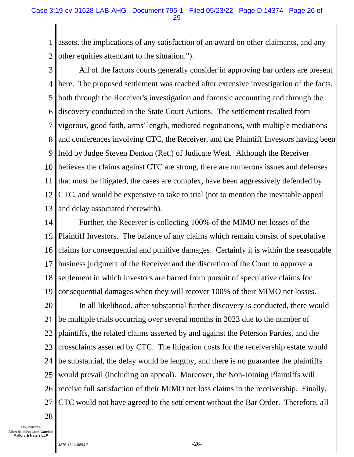1 2 assets, the implications of any satisfaction of an award on other claimants, and any other equities attendant to the situation.").

3 4 5 6 7 8 9 10 11 12 13 All of the factors courts generally consider in approving bar orders are present here. The proposed settlement was reached after extensive investigation of the facts, both through the Receiver's investigation and forensic accounting and through the discovery conducted in the State Court Actions. The settlement resulted from vigorous, good faith, arms' length, mediated negotiations, with multiple mediations and conferences involving CTC, the Receiver, and the Plaintiff Investors having been held by Judge Steven Denton (Ret.) of Judicate West. Although the Receiver believes the claims against CTC are strong, there are numerous issues and defenses that must be litigated, the cases are complex, have been aggressively defended by CTC, and would be expensive to take to trial (not to mention the inevitable appeal and delay associated therewith).

14 15 16 17 18 19 20 21 22 23 24 25 26 27 Further, the Receiver is collecting 100% of the MIMO net losses of the Plaintiff Investors. The balance of any claims which remain consist of speculative claims for consequential and punitive damages. Certainly it is within the reasonable business judgment of the Receiver and the discretion of the Court to approve a settlement in which investors are barred from pursuit of speculative claims for consequential damages when they will recover 100% of their MIMO net losses. In all likelihood, after substantial further discovery is conducted, there would be multiple trials occurring over several months in 2023 due to the number of plaintiffs, the related claims asserted by and against the Peterson Parties, and the crossclaims asserted by CTC. The litigation costs for the receivership estate would be substantial, the delay would be lengthy, and there is no guarantee the plaintiffs would prevail (including on appeal). Moreover, the Non-Joining Plaintiffs will receive full satisfaction of their MIMO net loss claims in the receivership. Finally, CTC would not have agreed to the settlement without the Bar Order. Therefore, all

28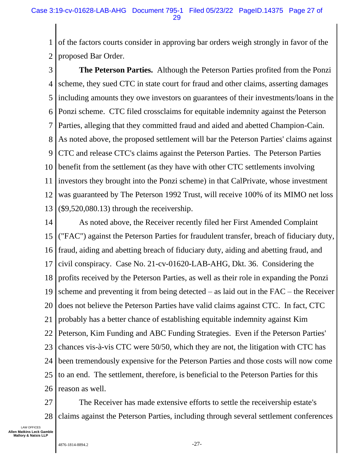1 2 of the factors courts consider in approving bar orders weigh strongly in favor of the proposed Bar Order.

3 4 5 6 7 8 9 10 11 12 13 **The Peterson Parties.** Although the Peterson Parties profited from the Ponzi scheme, they sued CTC in state court for fraud and other claims, asserting damages including amounts they owe investors on guarantees of their investments/loans in the Ponzi scheme. CTC filed crossclaims for equitable indemnity against the Peterson Parties, alleging that they committed fraud and aided and abetted Champion-Cain. As noted above, the proposed settlement will bar the Peterson Parties' claims against CTC and release CTC's claims against the Peterson Parties. The Peterson Parties benefit from the settlement (as they have with other CTC settlements involving investors they brought into the Ponzi scheme) in that CalPrivate, whose investment was guaranteed by The Peterson 1992 Trust, will receive 100% of its MIMO net loss (\$9,520,080.13) through the receivership.

14 15 16 17 18 19 20 21 22 23 24 25 26 As noted above, the Receiver recently filed her First Amended Complaint ("FAC") against the Peterson Parties for fraudulent transfer, breach of fiduciary duty, fraud, aiding and abetting breach of fiduciary duty, aiding and abetting fraud, and civil conspiracy. Case No. 21-cv-01620-LAB-AHG, Dkt. 36. Considering the profits received by the Peterson Parties, as well as their role in expanding the Ponzi scheme and preventing it from being detected – as laid out in the FAC – the Receiver does not believe the Peterson Parties have valid claims against CTC. In fact, CTC probably has a better chance of establishing equitable indemnity against Kim Peterson, Kim Funding and ABC Funding Strategies. Even if the Peterson Parties' chances vis-à-vis CTC were 50/50, which they are not, the litigation with CTC has been tremendously expensive for the Peterson Parties and those costs will now come to an end. The settlement, therefore, is beneficial to the Peterson Parties for this reason as well.

27 28 The Receiver has made extensive efforts to settle the receivership estate's claims against the Peterson Parties, including through several settlement conferences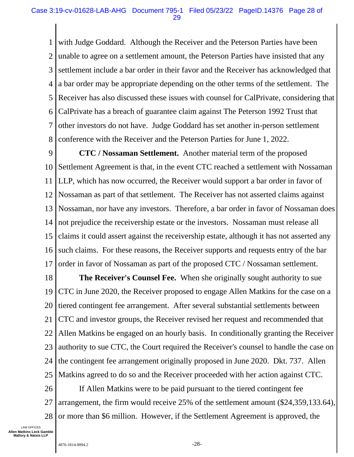1 2 3 4 5 6 7 8 with Judge Goddard. Although the Receiver and the Peterson Parties have been unable to agree on a settlement amount, the Peterson Parties have insisted that any settlement include a bar order in their favor and the Receiver has acknowledged that a bar order may be appropriate depending on the other terms of the settlement. The Receiver has also discussed these issues with counsel for CalPrivate, considering that CalPrivate has a breach of guarantee claim against The Peterson 1992 Trust that other investors do not have. Judge Goddard has set another in-person settlement conference with the Receiver and the Peterson Parties for June 1, 2022.

9 10 11 12 13 14 15 16 17 **CTC / Nossaman Settlement.** Another material term of the proposed Settlement Agreement is that, in the event CTC reached a settlement with Nossaman LLP, which has now occurred, the Receiver would support a bar order in favor of Nossaman as part of that settlement. The Receiver has not asserted claims against Nossaman, nor have any investors. Therefore, a bar order in favor of Nossaman does not prejudice the receivership estate or the investors. Nossaman must release all claims it could assert against the receivership estate, although it has not asserted any such claims. For these reasons, the Receiver supports and requests entry of the bar order in favor of Nossaman as part of the proposed CTC / Nossaman settlement.

18 19 20 21 22 23 24 25 **The Receiver's Counsel Fee.** When she originally sought authority to sue CTC in June 2020, the Receiver proposed to engage Allen Matkins for the case on a tiered contingent fee arrangement. After several substantial settlements between CTC and investor groups, the Receiver revised her request and recommended that Allen Matkins be engaged on an hourly basis. In conditionally granting the Receiver authority to sue CTC, the Court required the Receiver's counsel to handle the case on the contingent fee arrangement originally proposed in June 2020. Dkt. 737. Allen Matkins agreed to do so and the Receiver proceeded with her action against CTC.

26 27 28 If Allen Matkins were to be paid pursuant to the tiered contingent fee arrangement, the firm would receive 25% of the settlement amount (\$24,359,133.64), or more than \$6 million. However, if the Settlement Agreement is approved, the